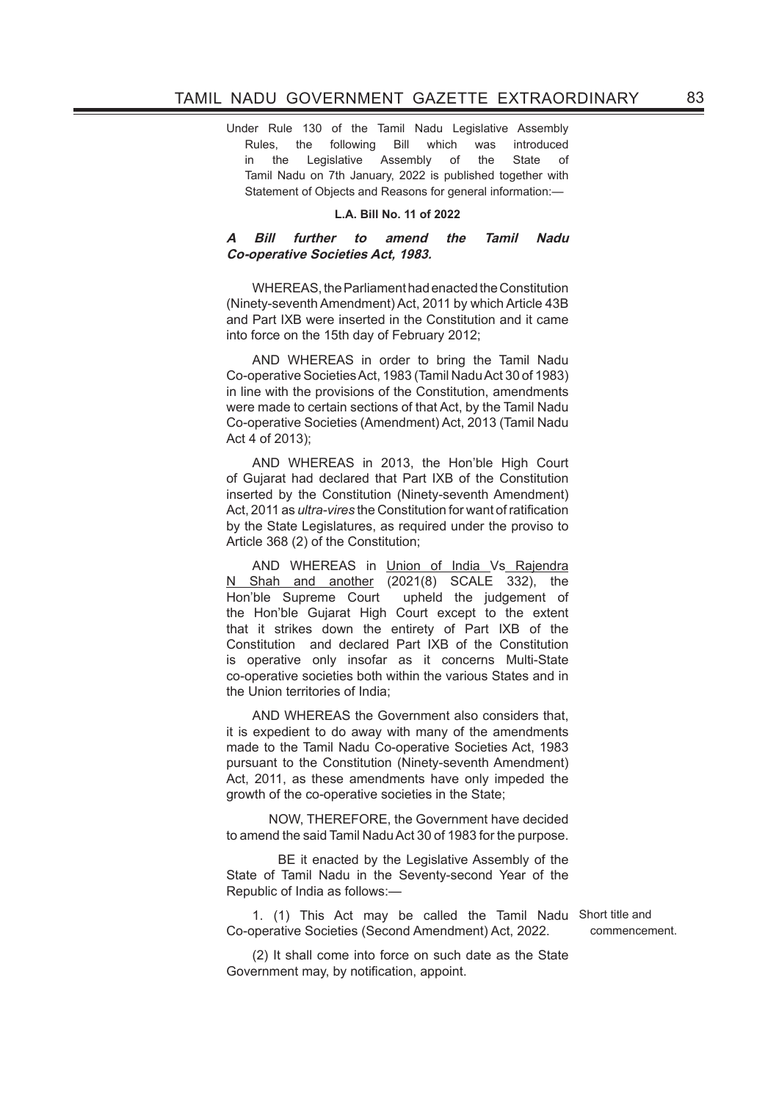Under Rule 130 of the Tamil Nadu Legislative Assembly Rules, the following Bill which was introduced in the Legislative Assembly of the State of Tamil Nadu on 7th January, 2022 is published together with Statement of Objects and Reasons for general information:-

## **L.A. Bill No. 11 of 2022**

## **A Bill further to amend the Tamil Nadu Co-operative Societies Act, 1983.**

WHEREAS, the Parliament had enacted the Constitution (Ninety-seventh Amendment) Act, 2011 by which Article 43B and Part IXB were inserted in the Constitution and it came into force on the 15th day of February 2012;

AND WHEREAS in order to bring the Tamil Nadu Co-operative Societies Act, 1983 (Tamil Nadu Act 30 of 1983) in line with the provisions of the Constitution, amendments were made to certain sections of that Act, by the Tamil Nadu Co-operative Societies (Amendment) Act, 2013 (Tamil Nadu Act 4 of 2013);

AND WHEREAS in 2013, the Hon'ble High Court of Gujarat had declared that Part IXB of the Constitution inserted by the Constitution (Ninety-seventh Amendment) Act, 2011 as *ultra-vires* the Constitution for want of ratification by the State Legislatures, as required under the proviso to Article 368 (2) of the Constitution;

AND WHEREAS in Union of India Vs Rajendra N Shah and another (2021(8) SCALE 332), the Hon'ble Supreme Court upheld the judgement of the Hon'ble Gujarat High Court except to the extent that it strikes down the entirety of Part IXB of the Constitution and declared Part IXB of the Constitution is operative only insofar as it concerns Multi-State co-operative societies both within the various States and in the Union territories of India;

AND WHEREAS the Government also considers that, it is expedient to do away with many of the amendments made to the Tamil Nadu Co-operative Societies Act, 1983 pursuant to the Constitution (Ninety-seventh Amendment) Act, 2011, as these amendments have only impeded the growth of the co-operative societies in the State;

 NOW, THEREFORE, the Government have decided to amend the said Tamil Nadu Act 30 of 1983 for the purpose.

 BE it enacted by the Legislative Assembly of the State of Tamil Nadu in the Seventy-second Year of the Republic of India as follows:—

1. (1) This Act may be called the Tamil Nadu Short title and Co-operative Societies (Second Amendment) Act, 2022.

commencement.

(2) It shall come into force on such date as the State Government may, by notification, appoint.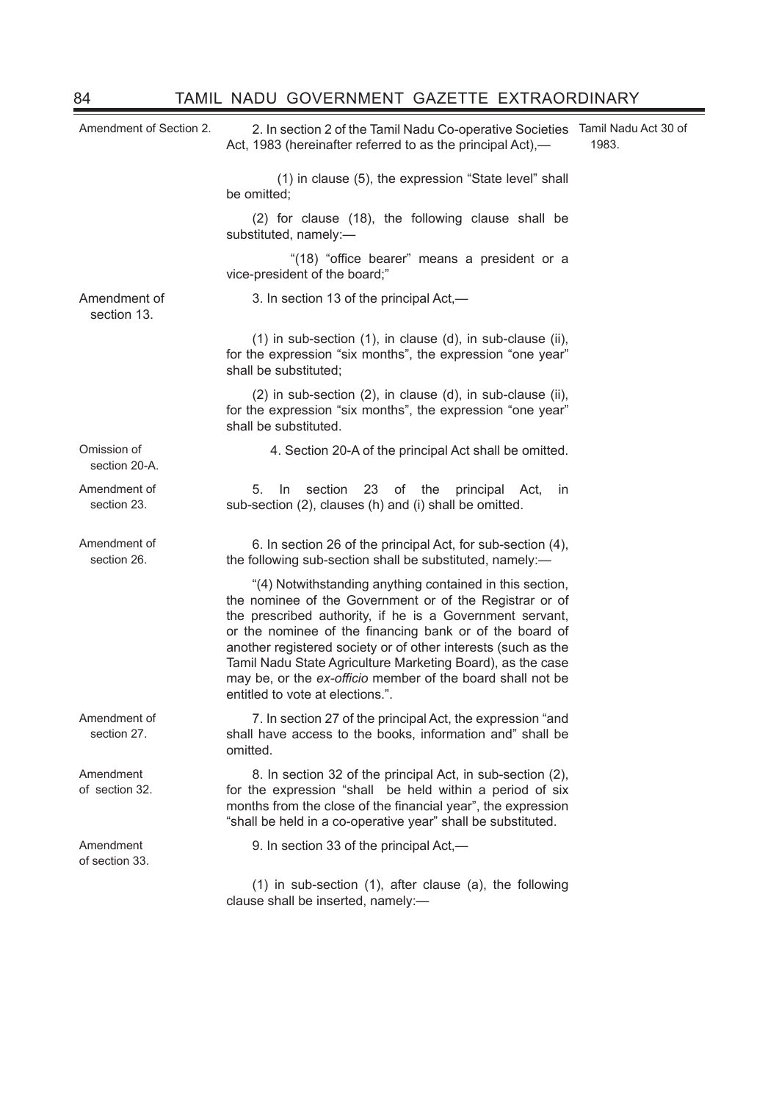| Amendment of Section 2.      | 2. In section 2 of the Tamil Nadu Co-operative Societies<br>Act, 1983 (hereinafter referred to as the principal Act),—                                                                                                                                                                                                                                                                                                                                                      | Tamil Nadu Act 30 of<br>1983. |
|------------------------------|-----------------------------------------------------------------------------------------------------------------------------------------------------------------------------------------------------------------------------------------------------------------------------------------------------------------------------------------------------------------------------------------------------------------------------------------------------------------------------|-------------------------------|
|                              | (1) in clause (5), the expression "State level" shall<br>be omitted;                                                                                                                                                                                                                                                                                                                                                                                                        |                               |
|                              | (2) for clause (18), the following clause shall be<br>substituted, namely:-                                                                                                                                                                                                                                                                                                                                                                                                 |                               |
|                              | "(18) "office bearer" means a president or a<br>vice-president of the board;"                                                                                                                                                                                                                                                                                                                                                                                               |                               |
| Amendment of<br>section 13.  | 3. In section 13 of the principal Act,—                                                                                                                                                                                                                                                                                                                                                                                                                                     |                               |
|                              | (1) in sub-section (1), in clause (d), in sub-clause (ii),<br>for the expression "six months", the expression "one year"<br>shall be substituted;                                                                                                                                                                                                                                                                                                                           |                               |
|                              | (2) in sub-section (2), in clause (d), in sub-clause (ii),<br>for the expression "six months", the expression "one year"<br>shall be substituted.                                                                                                                                                                                                                                                                                                                           |                               |
| Omission of<br>section 20-A. | 4. Section 20-A of the principal Act shall be omitted.                                                                                                                                                                                                                                                                                                                                                                                                                      |                               |
| Amendment of<br>section 23.  | 5.<br>In<br>section<br>23<br>of the<br>principal Act,<br>in<br>sub-section (2), clauses (h) and (i) shall be omitted.                                                                                                                                                                                                                                                                                                                                                       |                               |
| Amendment of<br>section 26.  | 6. In section 26 of the principal Act, for sub-section (4),<br>the following sub-section shall be substituted, namely:-                                                                                                                                                                                                                                                                                                                                                     |                               |
|                              | "(4) Notwithstanding anything contained in this section,<br>the nominee of the Government or of the Registrar or of<br>the prescribed authority, if he is a Government servant,<br>or the nominee of the financing bank or of the board of<br>another registered society or of other interests (such as the<br>Tamil Nadu State Agriculture Marketing Board), as the case<br>may be, or the ex-officio member of the board shall not be<br>entitled to vote at elections.". |                               |
| Amendment of<br>section 27.  | 7. In section 27 of the principal Act, the expression "and<br>shall have access to the books, information and" shall be<br>omitted.                                                                                                                                                                                                                                                                                                                                         |                               |
| Amendment<br>of section 32.  | 8. In section 32 of the principal Act, in sub-section (2),<br>for the expression "shall be held within a period of six<br>months from the close of the financial year", the expression<br>"shall be held in a co-operative year" shall be substituted.                                                                                                                                                                                                                      |                               |
| Amendment<br>of section 33.  | 9. In section 33 of the principal Act,-                                                                                                                                                                                                                                                                                                                                                                                                                                     |                               |
|                              | $(1)$ in sub-section $(1)$ , after clause $(a)$ , the following<br>clause shall be inserted, namely:-                                                                                                                                                                                                                                                                                                                                                                       |                               |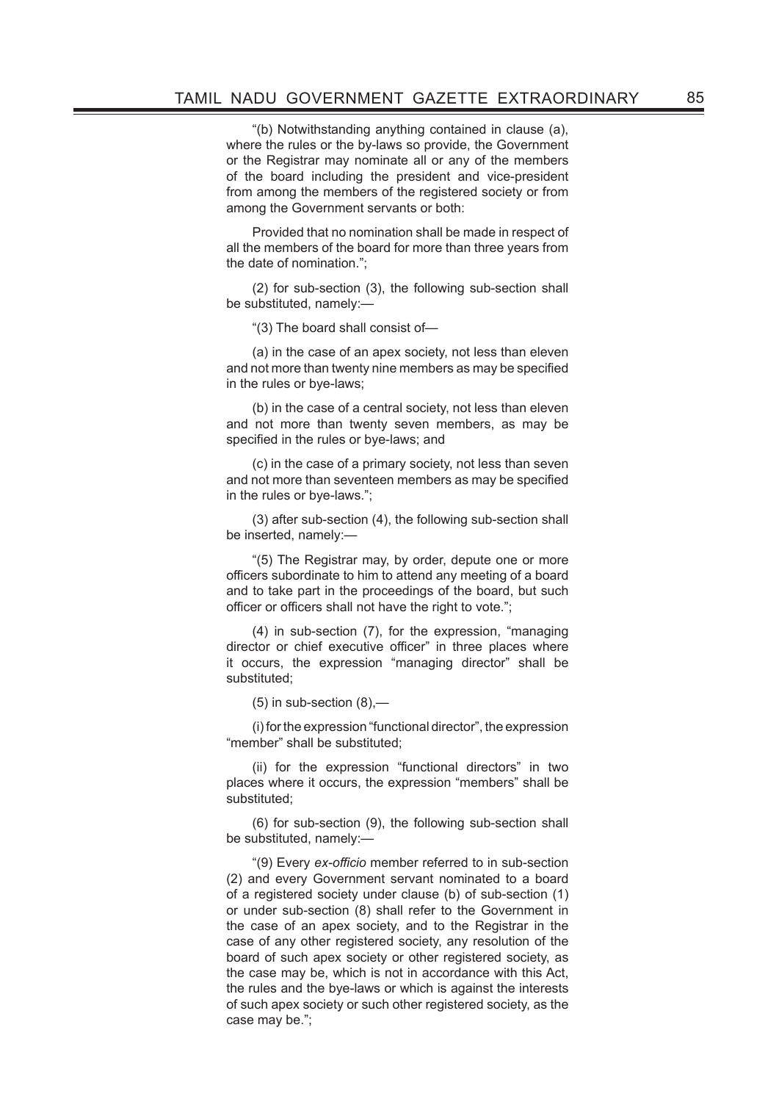"(b) Notwithstanding anything contained in clause (a), where the rules or the by-laws so provide, the Government or the Registrar may nominate all or any of the members of the board including the president and vice-president from among the members of the registered society or from among the Government servants or both:

Provided that no nomination shall be made in respect of all the members of the board for more than three years from the date of nomination.";

(2) for sub-section (3), the following sub-section shall be substituted, namely:—

"(3) The board shall consist of—

(a) in the case of an apex society, not less than eleven and not more than twenty nine members as may be specified in the rules or bye-laws;

(b) in the case of a central society, not less than eleven and not more than twenty seven members, as may be specified in the rules or bye-laws; and

(c) in the case of a primary society, not less than seven and not more than seventeen members as may be specified in the rules or bye-laws.";

(3) after sub-section (4), the following sub-section shall be inserted, namely:—

"(5) The Registrar may, by order, depute one or more officers subordinate to him to attend any meeting of a board and to take part in the proceedings of the board, but such officer or officers shall not have the right to vote.";

(4) in sub-section (7), for the expression, "managing director or chief executive officer" in three places where it occurs, the expression "managing director" shall be substituted;

 $(5)$  in sub-section  $(8)$ ,-

(i) for the expression "functional director", the expression "member" shall be substituted;

(ii) for the expression "functional directors" in two places where it occurs, the expression "members" shall be substituted;

(6) for sub-section (9), the following sub-section shall be substituted, namely:—

"(9) Every ex-officio member referred to in sub-section (2) and every Government servant nominated to a board of a registered society under clause (b) of sub-section (1) or under sub-section (8) shall refer to the Government in the case of an apex society, and to the Registrar in the case of any other registered society, any resolution of the board of such apex society or other registered society, as the case may be, which is not in accordance with this Act, the rules and the bye-laws or which is against the interests of such apex society or such other registered society, as the case may be.";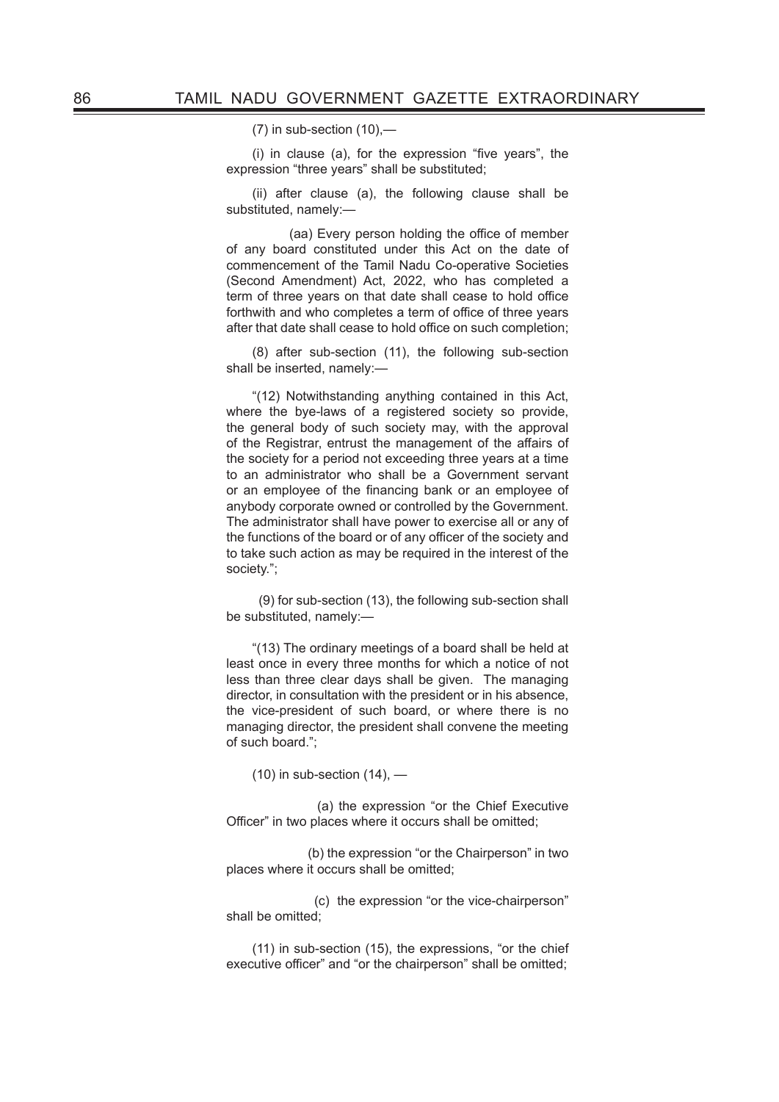$(7)$  in sub-section  $(10)$ .

 $(i)$  in clause  $(a)$ , for the expression "five years", the expression "three years" shall be substituted;

(ii) after clause (a), the following clause shall be substituted, namely:—

(aa) Every person holding the office of member of any board constituted under this Act on the date of commencement of the Tamil Nadu Co-operative Societies (Second Amendment) Act, 2022, who has completed a term of three years on that date shall cease to hold office forthwith and who completes a term of office of three years after that date shall cease to hold office on such completion;

(8) after sub-section (11), the following sub-section shall be inserted, namely:—

"(12) Notwithstanding anything contained in this Act, where the bye-laws of a registered society so provide. the general body of such society may, with the approval of the Registrar, entrust the management of the affairs of the society for a period not exceeding three years at a time to an administrator who shall be a Government servant or an employee of the financing bank or an employee of anybody corporate owned or controlled by the Government. The administrator shall have power to exercise all or any of the functions of the board or of any officer of the society and to take such action as may be required in the interest of the society.";

 (9) for sub-section (13), the following sub-section shall be substituted, namely:—

"(13) The ordinary meetings of a board shall be held at least once in every three months for which a notice of not less than three clear days shall be given. The managing director, in consultation with the president or in his absence, the vice-president of such board, or where there is no managing director, the president shall convene the meeting of such board.";

 $(10)$  in sub-section  $(14)$ ,  $-$ 

 (a) the expression "or the Chief Executive Officer" in two places where it occurs shall be omitted;

 (b) the expression "or the Chairperson" in two places where it occurs shall be omitted;

 (c) the expression "or the vice-chairperson" shall be omitted;

(11) in sub-section (15), the expressions, "or the chief executive officer" and "or the chairperson" shall be omitted;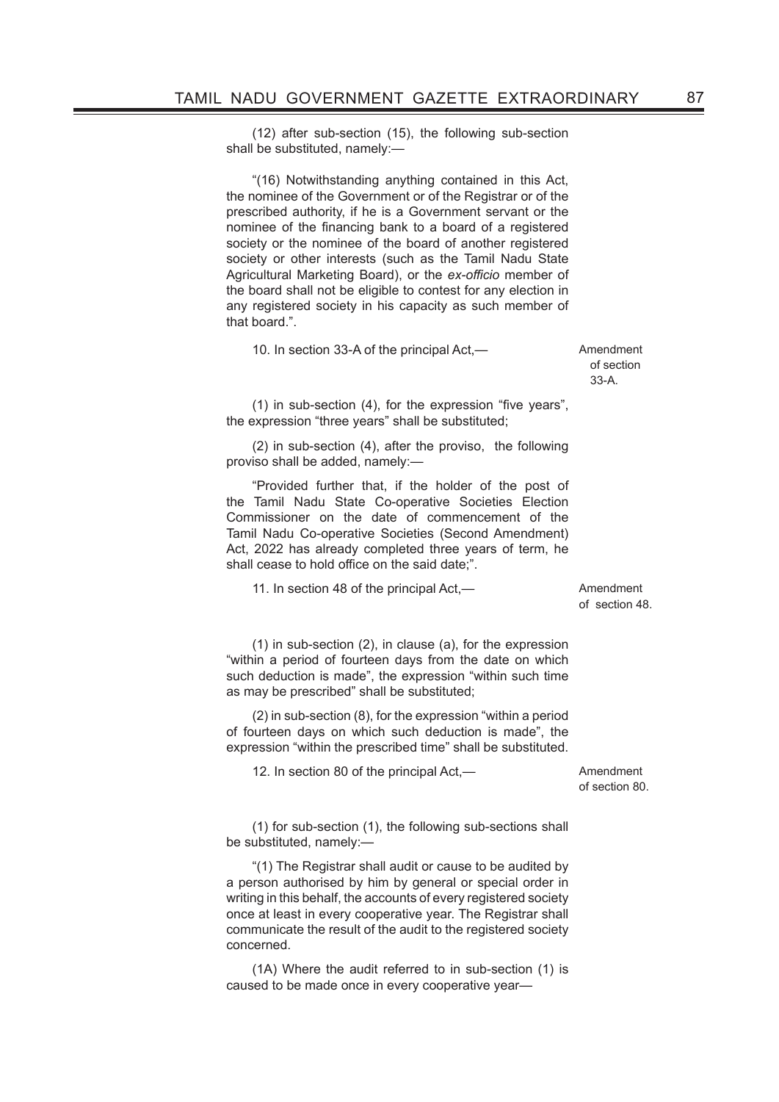(12) after sub-section (15), the following sub-section shall be substituted, namely:—

"(16) Notwithstanding anything contained in this Act, the nominee of the Government or of the Registrar or of the prescribed authority, if he is a Government servant or the nominee of the financing bank to a board of a registered society or the nominee of the board of another registered society or other interests (such as the Tamil Nadu State Agricultural Marketing Board), or the *ex-officio* member of the board shall not be eligible to contest for any election in any registered society in his capacity as such member of that board.".

10. In section 33-A of the principal Act,— The Muslim Amendment

of section 33-A.

 $(1)$  in sub-section  $(4)$ , for the expression "five years", the expression "three years" shall be substituted;

(2) in sub-section (4), after the proviso, the following proviso shall be added, namely:—

"Provided further that, if the holder of the post of the Tamil Nadu State Co-operative Societies Election Commissioner on the date of commencement of the Tamil Nadu Co-operative Societies (Second Amendment) Act, 2022 has already completed three years of term, he shall cease to hold office on the said date;".

11. In section 48 of the principal Act,— **Amendment** 

of section 48.

(1) in sub-section (2), in clause (a), for the expression "within a period of fourteen days from the date on which such deduction is made", the expression "within such time as may be prescribed" shall be substituted;

(2) in sub-section (8), for the expression "within a period of fourteen days on which such deduction is made", the expression "within the prescribed time" shall be substituted.

12. In section 80 of the principal Act,— The Muslim Amendment

of section 80.

(1) for sub-section (1), the following sub-sections shall be substituted, namely:—

"(1) The Registrar shall audit or cause to be audited by a person authorised by him by general or special order in writing in this behalf, the accounts of every registered society once at least in every cooperative year. The Registrar shall communicate the result of the audit to the registered society concerned.

(1A) Where the audit referred to in sub-section (1) is caused to be made once in every cooperative year—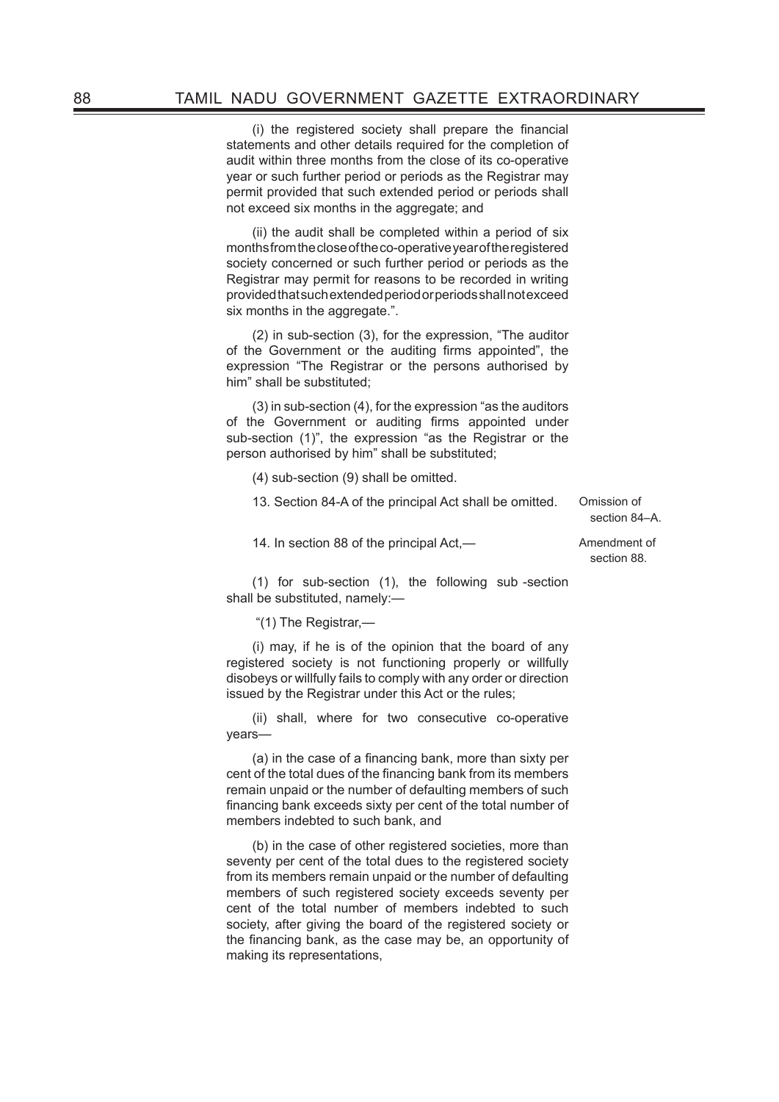(i) the registered society shall prepare the financial statements and other details required for the completion of audit within three months from the close of its co-operative year or such further period or periods as the Registrar may permit provided that such extended period or periods shall not exceed six months in the aggregate; and

(ii) the audit shall be completed within a period of six months from the close of the co-operative year of the registered society concerned or such further period or periods as the Registrar may permit for reasons to be recorded in writing provided that such extended period or periods shall not exceed six months in the aggregate.".

(2) in sub-section (3), for the expression, "The auditor of the Government or the auditing firms appointed", the expression "The Registrar or the persons authorised by him" shall be substituted;

(3) in sub-section (4), for the expression "as the auditors of the Government or auditing firms appointed under sub-section (1)", the expression "as the Registrar or the person authorised by him" shall be substituted;

(4) sub-section (9) shall be omitted.

13. Section 84-A of the principal Act shall be omitted. Omission of

section 84–A.

14. In section 88 of the principal Act,— and amendment of

section 88.

(1) for sub-section (1), the following sub -section shall be substituted, namely:—

"(1) The Registrar,—

(i) may, if he is of the opinion that the board of any registered society is not functioning properly or willfully disobeys or willfully fails to comply with any order or direction issued by the Registrar under this Act or the rules;

(ii) shall, where for two consecutive co-operative years—

 $(a)$  in the case of a financing bank, more than sixty per cent of the total dues of the financing bank from its members remain unpaid or the number of defaulting members of such financing bank exceeds sixty per cent of the total number of members indebted to such bank, and

(b) in the case of other registered societies, more than seventy per cent of the total dues to the registered society from its members remain unpaid or the number of defaulting members of such registered society exceeds seventy per cent of the total number of members indebted to such society, after giving the board of the registered society or the financing bank, as the case may be, an opportunity of making its representations,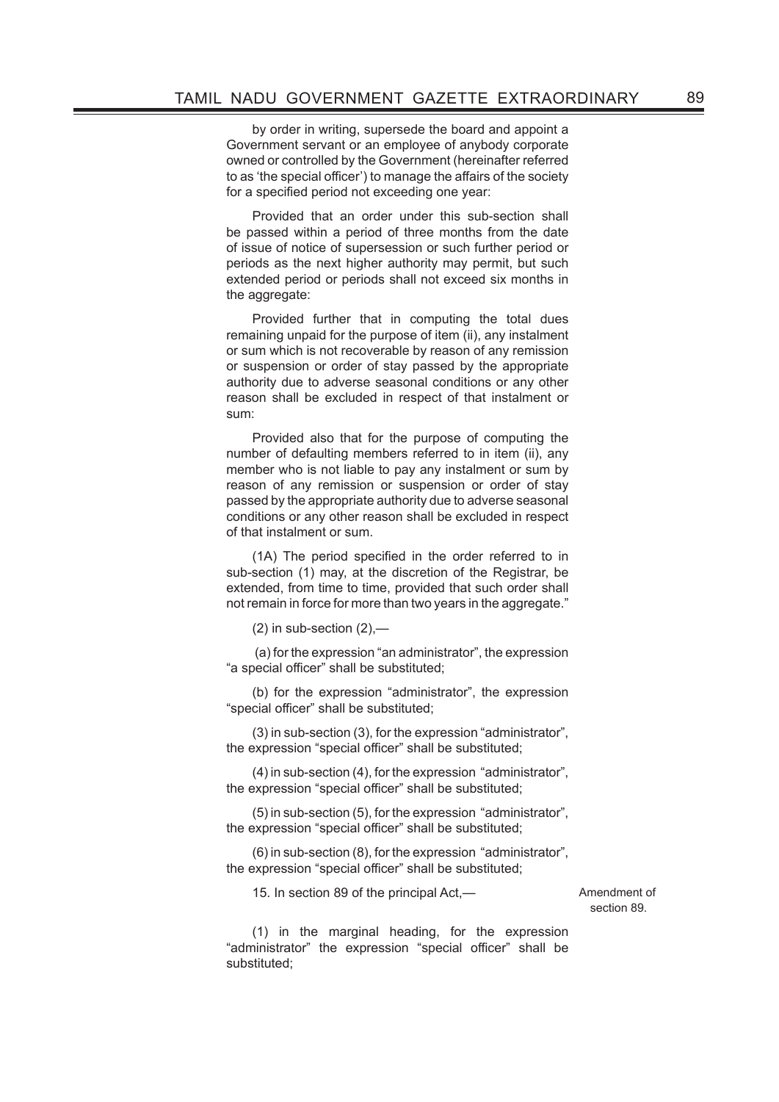by order in writing, supersede the board and appoint a Government servant or an employee of anybody corporate owned or controlled by the Government (hereinafter referred to as 'the special officer') to manage the affairs of the society for a specified period not exceeding one year:

Provided that an order under this sub-section shall be passed within a period of three months from the date of issue of notice of supersession or such further period or periods as the next higher authority may permit, but such extended period or periods shall not exceed six months in the aggregate:

Provided further that in computing the total dues remaining unpaid for the purpose of item (ii), any instalment or sum which is not recoverable by reason of any remission or suspension or order of stay passed by the appropriate authority due to adverse seasonal conditions or any other reason shall be excluded in respect of that instalment or sum:

Provided also that for the purpose of computing the number of defaulting members referred to in item (ii), any member who is not liable to pay any instalment or sum by reason of any remission or suspension or order of stay passed by the appropriate authority due to adverse seasonal conditions or any other reason shall be excluded in respect of that instalment or sum.

(1A) The period specified in the order referred to in sub-section (1) may, at the discretion of the Registrar, be extended, from time to time, provided that such order shall not remain in force for more than two years in the aggregate."

 $(2)$  in sub-section  $(2)$ ,—

 (a) for the expression "an administrator", the expression "a special officer" shall be substituted;

(b) for the expression "administrator", the expression "special officer" shall be substituted;

(3) in sub-section (3), for the expression "administrator", the expression "special officer" shall be substituted;

(4) in sub-section (4), for the expression "administrator", the expression "special officer" shall be substituted;

(5) in sub-section (5), for the expression "administrator", the expression "special officer" shall be substituted;

(6) in sub-section (8), for the expression "administrator", the expression "special officer" shall be substituted;

15. In section 89 of the principal Act,— The Muslim Amendment of

section 89.

(1) in the marginal heading, for the expression "administrator" the expression "special officer" shall be substituted;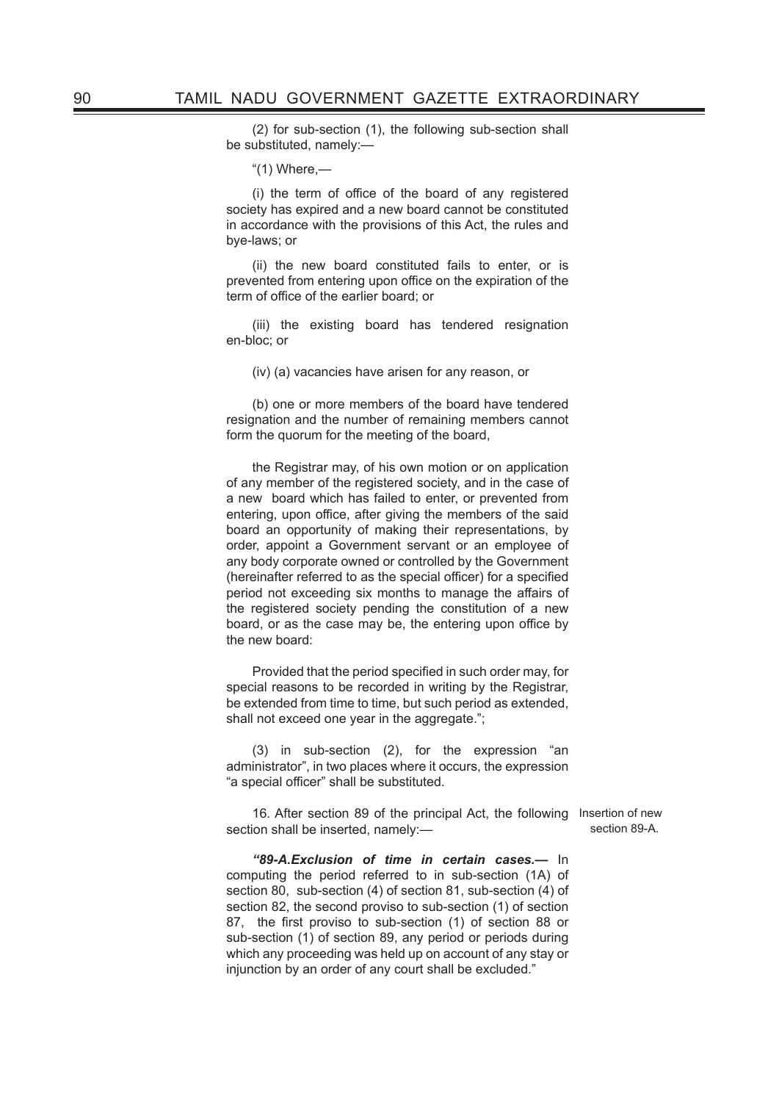(2) for sub-section (1), the following sub-section shall be substituted, namely:—

"(1) Where,—

(i) the term of office of the board of any registered society has expired and a new board cannot be constituted in accordance with the provisions of this Act, the rules and bye-laws; or

(ii) the new board constituted fails to enter, or is prevented from entering upon office on the expiration of the term of office of the earlier board; or

(iii) the existing board has tendered resignation en-bloc; or

(iv) (a) vacancies have arisen for any reason, or

(b) one or more members of the board have tendered resignation and the number of remaining members cannot form the quorum for the meeting of the board,

the Registrar may, of his own motion or on application of any member of the registered society, and in the case of a new board which has failed to enter, or prevented from entering, upon office, after giving the members of the said board an opportunity of making their representations, by order, appoint a Government servant or an employee of any body corporate owned or controlled by the Government (hereinafter referred to as the special officer) for a specified period not exceeding six months to manage the affairs of the registered society pending the constitution of a new board, or as the case may be, the entering upon office by the new board:

Provided that the period specified in such order may, for special reasons to be recorded in writing by the Registrar, be extended from time to time, but such period as extended, shall not exceed one year in the aggregate.";

(3) in sub-section (2), for the expression "an administrator", in two places where it occurs, the expression "a special officer" shall be substituted.

16. After section 89 of the principal Act, the following Insertion of new section shall be inserted, namely:—

section 89-A.

*"89-A.Exclusion of time in certain cases.—* In computing the period referred to in sub-section (1A) of section 80, sub-section (4) of section 81, sub-section (4) of section 82, the second proviso to sub-section (1) of section 87, the first proviso to sub-section (1) of section 88 or sub-section (1) of section 89, any period or periods during which any proceeding was held up on account of any stay or injunction by an order of any court shall be excluded."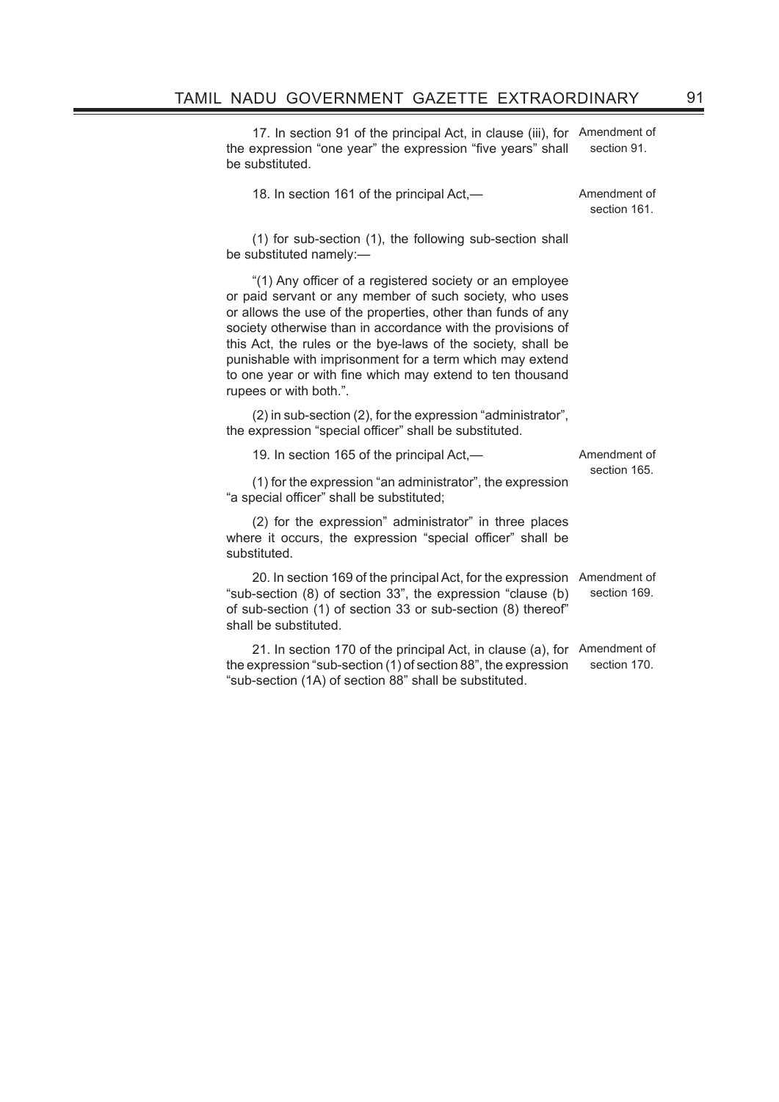17. In section 91 of the principal Act, in clause (iii), for Amendment of the expression "one year" the expression "five years" shall be substituted. section 91.

| 18. In section 161 of the principal Act,—                                                                                                                                                                                                                                                                                                                                                                                                                            | Amendment of<br>section 161. |  |
|----------------------------------------------------------------------------------------------------------------------------------------------------------------------------------------------------------------------------------------------------------------------------------------------------------------------------------------------------------------------------------------------------------------------------------------------------------------------|------------------------------|--|
| (1) for sub-section (1), the following sub-section shall<br>be substituted namely:-                                                                                                                                                                                                                                                                                                                                                                                  |                              |  |
| "(1) Any officer of a registered society or an employee<br>or paid servant or any member of such society, who uses<br>or allows the use of the properties, other than funds of any<br>society otherwise than in accordance with the provisions of<br>this Act, the rules or the bye-laws of the society, shall be<br>punishable with imprisonment for a term which may extend<br>to one year or with fine which may extend to ten thousand<br>rupees or with both.". |                              |  |
| (2) in sub-section (2), for the expression "administrator",<br>the expression "special officer" shall be substituted.                                                                                                                                                                                                                                                                                                                                                |                              |  |
| 19. In section 165 of the principal Act,—                                                                                                                                                                                                                                                                                                                                                                                                                            | Amendment of                 |  |
| (1) for the expression "an administrator", the expression<br>"a special officer" shall be substituted;                                                                                                                                                                                                                                                                                                                                                               | section 165.                 |  |
| (2) for the expression" administrator" in three places<br>where it occurs, the expression "special officer" shall be<br>substituted.                                                                                                                                                                                                                                                                                                                                 |                              |  |
| 20. In section 169 of the principal Act, for the expression<br>"sub-section (8) of section 33", the expression "clause (b)<br>of sub-section (1) of section 33 or sub-section (8) thereof"<br>shall be substituted.                                                                                                                                                                                                                                                  | Amendment of<br>section 169. |  |
| 21. In section 170 of the principal Act, in clause (a), for<br>the expression "sub-section (1) of section 88", the expression<br>"sub-section (1A) of section 88" shall be substituted.                                                                                                                                                                                                                                                                              | Amendment of<br>section 170. |  |